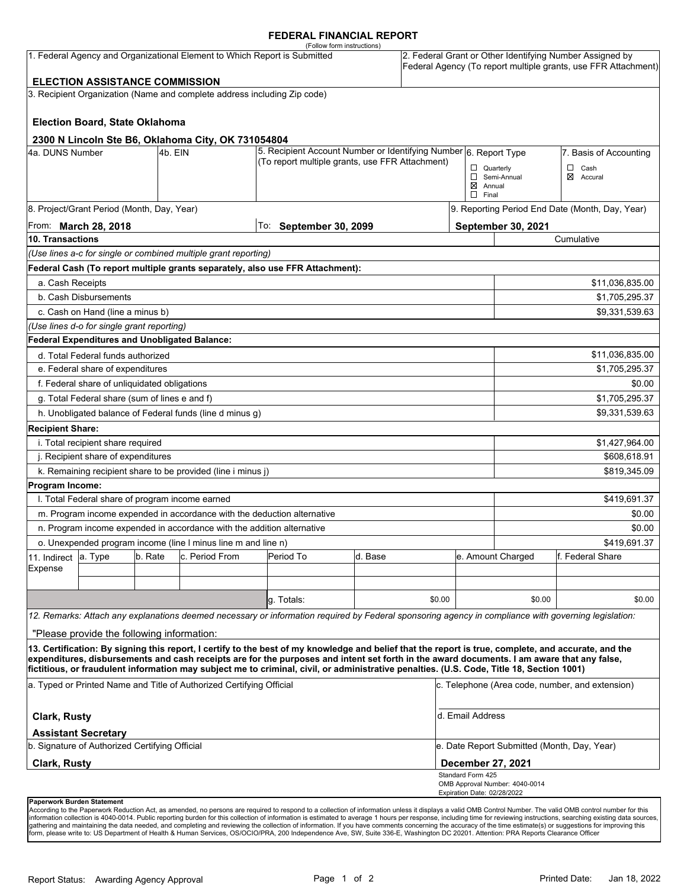### **FEDERAL FINANCIAL REPORT**

|                            |                                                      |         | 1. Federal Agency and Organizational Element to Which Report is Submitted | (Follow form instructions)                                                                                                                                                                                                                                                                                                                                                                                                                      |         |        |                                                  |                                             | 2. Federal Grant or Other Identifying Number Assigned by<br>Federal Agency (To report multiple grants, use FFR Attachment) |
|----------------------------|------------------------------------------------------|---------|---------------------------------------------------------------------------|-------------------------------------------------------------------------------------------------------------------------------------------------------------------------------------------------------------------------------------------------------------------------------------------------------------------------------------------------------------------------------------------------------------------------------------------------|---------|--------|--------------------------------------------------|---------------------------------------------|----------------------------------------------------------------------------------------------------------------------------|
|                            | <b>ELECTION ASSISTANCE COMMISSION</b>                |         | 3. Recipient Organization (Name and complete address including Zip code)  |                                                                                                                                                                                                                                                                                                                                                                                                                                                 |         |        |                                                  |                                             |                                                                                                                            |
|                            |                                                      |         |                                                                           |                                                                                                                                                                                                                                                                                                                                                                                                                                                 |         |        |                                                  |                                             |                                                                                                                            |
|                            | <b>Election Board, State Oklahoma</b>                |         |                                                                           |                                                                                                                                                                                                                                                                                                                                                                                                                                                 |         |        |                                                  |                                             |                                                                                                                            |
|                            |                                                      |         |                                                                           |                                                                                                                                                                                                                                                                                                                                                                                                                                                 |         |        |                                                  |                                             |                                                                                                                            |
| 4a. DUNS Number            |                                                      | 4b. EIN | 2300 N Lincoln Ste B6, Oklahoma City, OK 731054804                        | 5. Recipient Account Number or Identifying Number 6. Report Type                                                                                                                                                                                                                                                                                                                                                                                |         |        |                                                  |                                             | 7. Basis of Accounting                                                                                                     |
|                            |                                                      |         |                                                                           | (To report multiple grants, use FFR Attachment)                                                                                                                                                                                                                                                                                                                                                                                                 |         |        | $\Box$ Quarterly                                 |                                             | $\Box$<br>Cash                                                                                                             |
|                            |                                                      |         |                                                                           |                                                                                                                                                                                                                                                                                                                                                                                                                                                 |         |        |                                                  | Semi-Annual                                 | ⊠<br>Accural                                                                                                               |
|                            |                                                      |         |                                                                           |                                                                                                                                                                                                                                                                                                                                                                                                                                                 |         |        | $\boxtimes$ Annual<br>$\Box$ Final               |                                             |                                                                                                                            |
|                            | 8. Project/Grant Period (Month, Day, Year)           |         |                                                                           |                                                                                                                                                                                                                                                                                                                                                                                                                                                 |         |        |                                                  |                                             | 9. Reporting Period End Date (Month, Day, Year)                                                                            |
|                            | From: <b>March 28, 2018</b>                          |         |                                                                           | To: September 30, 2099                                                                                                                                                                                                                                                                                                                                                                                                                          |         |        |                                                  | September 30, 2021                          |                                                                                                                            |
| 10. Transactions           |                                                      |         |                                                                           |                                                                                                                                                                                                                                                                                                                                                                                                                                                 |         |        |                                                  |                                             | Cumulative                                                                                                                 |
|                            |                                                      |         | (Use lines a-c for single or combined multiple grant reporting)           |                                                                                                                                                                                                                                                                                                                                                                                                                                                 |         |        |                                                  |                                             |                                                                                                                            |
|                            |                                                      |         |                                                                           | Federal Cash (To report multiple grants separately, also use FFR Attachment):                                                                                                                                                                                                                                                                                                                                                                   |         |        |                                                  |                                             |                                                                                                                            |
| a. Cash Receipts           |                                                      |         |                                                                           |                                                                                                                                                                                                                                                                                                                                                                                                                                                 |         |        |                                                  |                                             | \$11,036,835.00                                                                                                            |
|                            | b. Cash Disbursements                                |         |                                                                           |                                                                                                                                                                                                                                                                                                                                                                                                                                                 |         |        |                                                  |                                             | \$1,705,295.37                                                                                                             |
|                            | c. Cash on Hand (line a minus b)                     |         |                                                                           |                                                                                                                                                                                                                                                                                                                                                                                                                                                 |         |        |                                                  |                                             | \$9,331,539.63                                                                                                             |
|                            | (Use lines d-o for single grant reporting)           |         |                                                                           |                                                                                                                                                                                                                                                                                                                                                                                                                                                 |         |        |                                                  |                                             |                                                                                                                            |
|                            | <b>Federal Expenditures and Unobligated Balance:</b> |         |                                                                           |                                                                                                                                                                                                                                                                                                                                                                                                                                                 |         |        |                                                  |                                             |                                                                                                                            |
|                            | d. Total Federal funds authorized                    |         |                                                                           |                                                                                                                                                                                                                                                                                                                                                                                                                                                 |         |        |                                                  |                                             | \$11,036,835.00                                                                                                            |
|                            | e. Federal share of expenditures                     |         |                                                                           |                                                                                                                                                                                                                                                                                                                                                                                                                                                 |         |        |                                                  |                                             | \$1,705,295.37                                                                                                             |
|                            | f. Federal share of unliquidated obligations         |         |                                                                           |                                                                                                                                                                                                                                                                                                                                                                                                                                                 |         |        |                                                  |                                             | \$0.00                                                                                                                     |
|                            | g. Total Federal share (sum of lines e and f)        |         |                                                                           |                                                                                                                                                                                                                                                                                                                                                                                                                                                 |         |        |                                                  |                                             | \$1,705,295.37                                                                                                             |
|                            |                                                      |         | h. Unobligated balance of Federal funds (line d minus g)                  |                                                                                                                                                                                                                                                                                                                                                                                                                                                 |         |        |                                                  |                                             | \$9,331,539.63                                                                                                             |
| <b>Recipient Share:</b>    |                                                      |         |                                                                           |                                                                                                                                                                                                                                                                                                                                                                                                                                                 |         |        |                                                  |                                             |                                                                                                                            |
|                            | i. Total recipient share required                    |         |                                                                           |                                                                                                                                                                                                                                                                                                                                                                                                                                                 |         |        |                                                  |                                             | \$1,427,964.00                                                                                                             |
|                            | j. Recipient share of expenditures                   |         |                                                                           |                                                                                                                                                                                                                                                                                                                                                                                                                                                 |         |        |                                                  |                                             | \$608,618.91                                                                                                               |
|                            |                                                      |         | k. Remaining recipient share to be provided (line i minus j)              |                                                                                                                                                                                                                                                                                                                                                                                                                                                 |         |        |                                                  |                                             | \$819,345.09                                                                                                               |
| Program Income:            |                                                      |         |                                                                           |                                                                                                                                                                                                                                                                                                                                                                                                                                                 |         |        |                                                  |                                             |                                                                                                                            |
|                            | I. Total Federal share of program income earned      |         |                                                                           |                                                                                                                                                                                                                                                                                                                                                                                                                                                 |         |        |                                                  |                                             | \$419,691.37                                                                                                               |
|                            |                                                      |         |                                                                           | m. Program income expended in accordance with the deduction alternative                                                                                                                                                                                                                                                                                                                                                                         |         |        |                                                  |                                             | \$0.00                                                                                                                     |
|                            |                                                      |         | n. Program income expended in accordance with the addition alternative    |                                                                                                                                                                                                                                                                                                                                                                                                                                                 |         |        |                                                  |                                             | \$0.00                                                                                                                     |
|                            |                                                      |         | o. Unexpended program income (line I minus line m and line n)             |                                                                                                                                                                                                                                                                                                                                                                                                                                                 |         |        |                                                  |                                             | \$419,691.37                                                                                                               |
| 11. Indirect               | a. Type                                              | b. Rate | c. Period From                                                            | Period To                                                                                                                                                                                                                                                                                                                                                                                                                                       | d. Base |        |                                                  | e. Amount Charged                           | f. Federal Share                                                                                                           |
| Expense                    |                                                      |         |                                                                           |                                                                                                                                                                                                                                                                                                                                                                                                                                                 |         |        |                                                  |                                             |                                                                                                                            |
|                            |                                                      |         |                                                                           |                                                                                                                                                                                                                                                                                                                                                                                                                                                 |         |        |                                                  |                                             |                                                                                                                            |
|                            |                                                      |         |                                                                           | g. Totals:                                                                                                                                                                                                                                                                                                                                                                                                                                      |         | \$0.00 |                                                  | \$0.00                                      | \$0.00                                                                                                                     |
|                            |                                                      |         |                                                                           | 12. Remarks: Attach any explanations deemed necessary or information required by Federal sponsoring agency in compliance with governing legislation:                                                                                                                                                                                                                                                                                            |         |        |                                                  |                                             |                                                                                                                            |
|                            | "Please provide the following information:           |         |                                                                           |                                                                                                                                                                                                                                                                                                                                                                                                                                                 |         |        |                                                  |                                             |                                                                                                                            |
|                            |                                                      |         |                                                                           | 13. Certification: By signing this report, I certify to the best of my knowledge and belief that the report is true, complete, and accurate, and the<br>expenditures, disbursements and cash receipts are for the purposes and intent set forth in the award documents. I am aware that any false,<br>fictitious, or fraudulent information may subject me to criminal, civil, or administrative penalties. (U.S. Code, Title 18, Section 1001) |         |        |                                                  |                                             |                                                                                                                            |
|                            |                                                      |         | a. Typed or Printed Name and Title of Authorized Certifying Official      |                                                                                                                                                                                                                                                                                                                                                                                                                                                 |         |        |                                                  |                                             | c. Telephone (Area code, number, and extension)                                                                            |
| <b>Clark, Rusty</b>        |                                                      |         |                                                                           |                                                                                                                                                                                                                                                                                                                                                                                                                                                 |         |        | d. Email Address                                 |                                             |                                                                                                                            |
|                            | <b>Assistant Secretary</b>                           |         |                                                                           |                                                                                                                                                                                                                                                                                                                                                                                                                                                 |         |        |                                                  |                                             |                                                                                                                            |
|                            | b. Signature of Authorized Certifying Official       |         |                                                                           |                                                                                                                                                                                                                                                                                                                                                                                                                                                 |         |        |                                                  | e. Date Report Submitted (Month, Day, Year) |                                                                                                                            |
| <b>Clark, Rusty</b>        |                                                      |         |                                                                           |                                                                                                                                                                                                                                                                                                                                                                                                                                                 |         |        | December 27, 2021                                |                                             |                                                                                                                            |
|                            |                                                      |         |                                                                           |                                                                                                                                                                                                                                                                                                                                                                                                                                                 |         |        | Standard Form 425<br>Expiration Date: 02/28/2022 | OMB Approval Number: 4040-0014              |                                                                                                                            |
| Paperwork Burden Statement |                                                      |         |                                                                           |                                                                                                                                                                                                                                                                                                                                                                                                                                                 |         |        |                                                  |                                             |                                                                                                                            |

According to the Paperwork Reduction Act, as amended, no persons are required to respond to a collection of information unless it displays a valid OMB Control Number. The valid OMB control number for this<br>information colle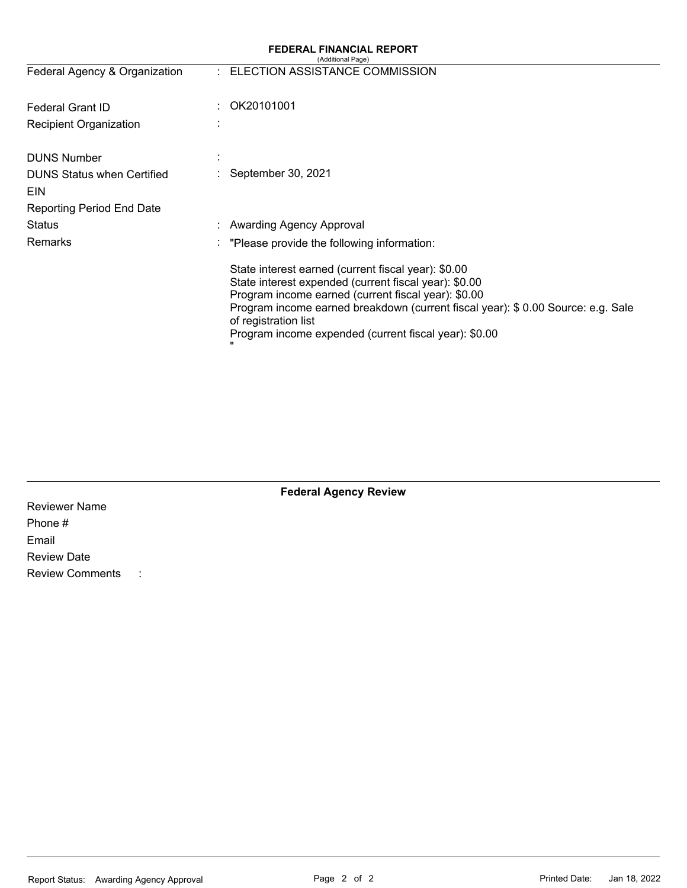# **FEDERAL FINANCIAL REPORT**

|                                   |                             | (Additional Page)                                                                                                                                                                                                                                                                                                                        |
|-----------------------------------|-----------------------------|------------------------------------------------------------------------------------------------------------------------------------------------------------------------------------------------------------------------------------------------------------------------------------------------------------------------------------------|
| Federal Agency & Organization     | $\mathcal{F}_{\mathcal{A}}$ | ELECTION ASSISTANCE COMMISSION                                                                                                                                                                                                                                                                                                           |
| <b>Federal Grant ID</b>           |                             | OK20101001                                                                                                                                                                                                                                                                                                                               |
| <b>Recipient Organization</b>     |                             |                                                                                                                                                                                                                                                                                                                                          |
| <b>DUNS Number</b>                |                             |                                                                                                                                                                                                                                                                                                                                          |
| <b>DUNS Status when Certified</b> |                             | September 30, 2021                                                                                                                                                                                                                                                                                                                       |
| EIN                               |                             |                                                                                                                                                                                                                                                                                                                                          |
| <b>Reporting Period End Date</b>  |                             |                                                                                                                                                                                                                                                                                                                                          |
| Status                            |                             | <b>Awarding Agency Approval</b>                                                                                                                                                                                                                                                                                                          |
| <b>Remarks</b>                    | ٠                           | "Please provide the following information:                                                                                                                                                                                                                                                                                               |
|                                   |                             | State interest earned (current fiscal year): \$0.00<br>State interest expended (current fiscal year): \$0.00<br>Program income earned (current fiscal year): \$0.00<br>Program income earned breakdown (current fiscal year): \$ 0.00 Source: e.g. Sale<br>of registration list<br>Program income expended (current fiscal year): \$0.00 |

|                        |           | <b>Federal Agency Review</b> |  |
|------------------------|-----------|------------------------------|--|
| <b>Reviewer Name</b>   |           |                              |  |
| Phone #                |           |                              |  |
| Email                  |           |                              |  |
| <b>Review Date</b>     |           |                              |  |
| <b>Review Comments</b> | $\sim$ 1. |                              |  |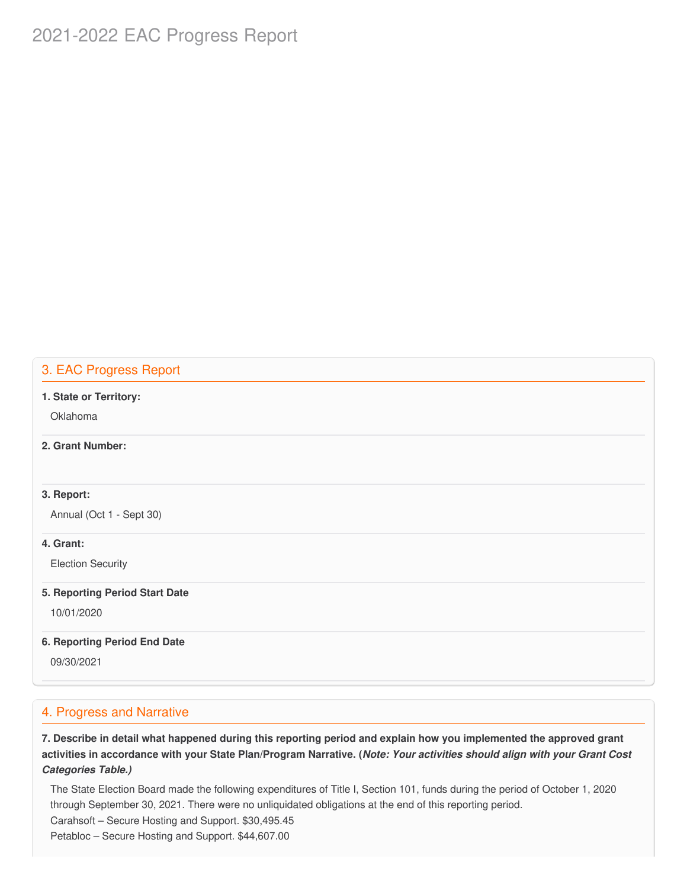# 2021-2022 EAC Progress Report

# 3. EAC Progress Report

#### **1. State or Territory:**

Oklahoma

# **2. Grant Number:**

# **3. Report:**

Annual (Oct 1 - Sept 30)

### **4. Grant:**

Election Security

#### **5. Reporting Period Start Date**

10/01/2020

#### **6. Reporting Period End Date**

09/30/2021

# 4. Progress and Narrative

7. Describe in detail what happened during this reporting period and explain how you implemented the approved grant activities in accordance with your State Plan/Program Narrative. (*Note: Your activities should align with your Grant Cost Categories Table.)*

 The State Election Board made the following expenditures of Title I, Section 101, funds during the period of October 1, 2020 through September 30, 2021. There were no unliquidated obligations at the end of this reporting period. Carahsoft – Secure Hosting and Support. [\\$30,495.45](https://30,495.45) Petabloc – Secure Hosting and Support. [\\$44,607.00](https://44,607.00)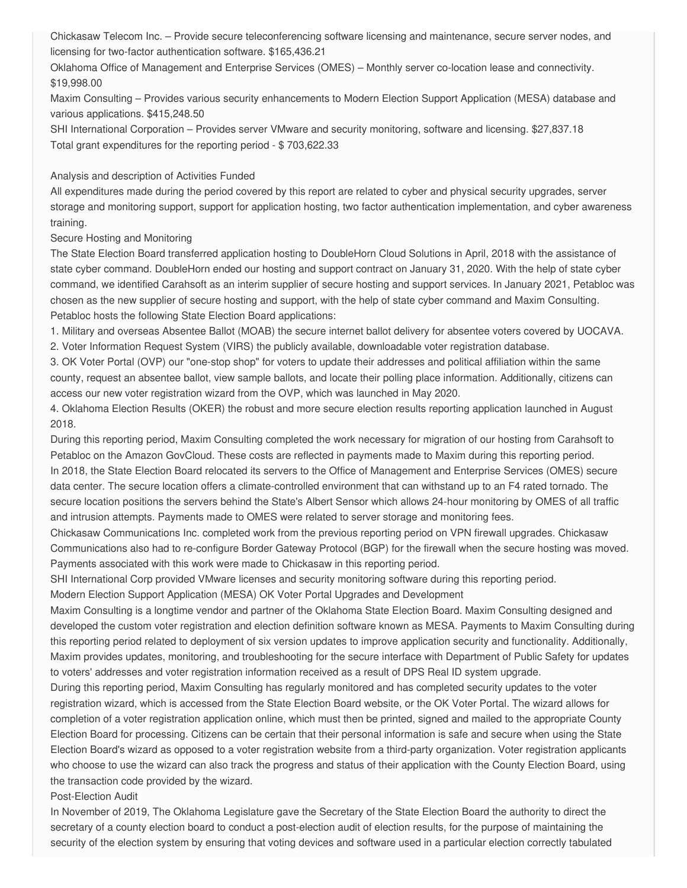Chickasaw Telecom Inc. – Provide secure teleconferencing software licensing and maintenance, secure server nodes, and licensing for two-factor authentication software. \$[165,436.21](https://165,436.21)

 Oklahoma Office of Management and Enterprise Services (OMES) – Monthly server co-location lease and connectivity. [\\$19,998.00](https://19,998.00)

 Maxim Consulting – Provides various security enhancements to Modern Election Support Application (MESA) database and various applications. [\\$415,248.50](https://415,248.50)

 SHI International Corporation – Provides server VMware and security monitoring, software and licensing. [\\$27,837.18](https://27,837.18) Total grant expenditures for the reporting period - \$ [703,622.33](https://703,622.33)

#### Analysis and description of Activities Funded

 All expenditures made during the period covered by this report are related to cyber and physical security upgrades, server storage and monitoring support, support for application hosting, two factor authentication implementation, and cyber awareness training.

Secure Hosting and Monitoring

 The State Election Board transferred application hosting to DoubleHorn Cloud Solutions in April, 2018 with the assistance of state cyber command. DoubleHorn ended our hosting and support contract on January 31, 2020. With the help of state cyber command, we identified Carahsoft as an interim supplier of secure hosting and support services. In January 2021, Petabloc was chosen as the new supplier of secure hosting and support, with the help of state cyber command and Maxim Consulting. Petabloc hosts the following State Election Board applications:

 1. Military and overseas Absentee Ballot (MOAB) the secure internet ballot delivery for absentee voters covered by UOCAVA. 2. Voter Information Request System (VIRS) the publicly available, downloadable voter registration database.

 3. OK Voter Portal (OVP) our "one-stop shop" for voters to update their addresses and political affiliation within the same county, request an absentee ballot, view sample ballots, and locate their polling place information. Additionally, citizens can access our new voter registration wizard from the OVP, which was launched in May 2020.

 4. Oklahoma Election Results (OKER) the robust and more secure election results reporting application launched in August 2018.

 During this reporting period, Maxim Consulting completed the work necessary for migration of our hosting from Carahsoft to Petabloc on the Amazon GovCloud. These costs are reflected in payments made to Maxim during this reporting period. In 2018, the State Election Board relocated its servers to the Office of Management and Enterprise Services (OMES) secure data center. The secure location offers a climate-controlled environment that can withstand up to an F4 rated tornado. The secure location positions the servers behind the State's Albert Sensor which allows 24-hour monitoring by OMES of all traffic and intrusion attempts. Payments made to OMES were related to server storage and monitoring fees.

 Chickasaw Communications Inc. completed work from the previous reporting period on VPN firewall upgrades. Chickasaw Communications also had to re-configure Border Gateway Protocol (BGP) for the firewall when the secure hosting was moved. Payments associated with this work were made to Chickasaw in this reporting period.

SHI International Corp provided VMware licenses and security monitoring software during this reporting period.

Modern Election Support Application (MESA) OK Voter Portal Upgrades and Development

 Maxim Consulting is a longtime vendor and partner of the Oklahoma State Election Board. Maxim Consulting designed and developed the custom voter registration and election definition software known as MESA. Payments to Maxim Consulting during this reporting period related to deployment of six version updates to improve application security and functionality. Additionally, Maxim provides updates, monitoring, and troubleshooting for the secure interface with Department of Public Safety for updates to voters' addresses and voter registration information received as a result of DPS Real ID system upgrade.

 During this reporting period, Maxim Consulting has regularly monitored and has completed security updates to the voter registration wizard, which is accessed from the State Election Board website, or the OK Voter Portal. The wizard allows for completion of a voter registration application online, which must then be printed, signed and mailed to the appropriate County Election Board for processing. Citizens can be certain that their personal information is safe and secure when using the State Election Board's wizard as opposed to a voter registration website from a third-party organization. Voter registration applicants who choose to use the wizard can also track the progress and status of their application with the County Election Board, using the transaction code provided by the wizard.

Post-Election Audit

 In November of 2019, The Oklahoma Legislature gave the Secretary of the State Election Board the authority to direct the secretary of a county election board to conduct a post-election audit of election results, for the purpose of maintaining the security of the election system by ensuring that voting devices and software used in a particular election correctly tabulated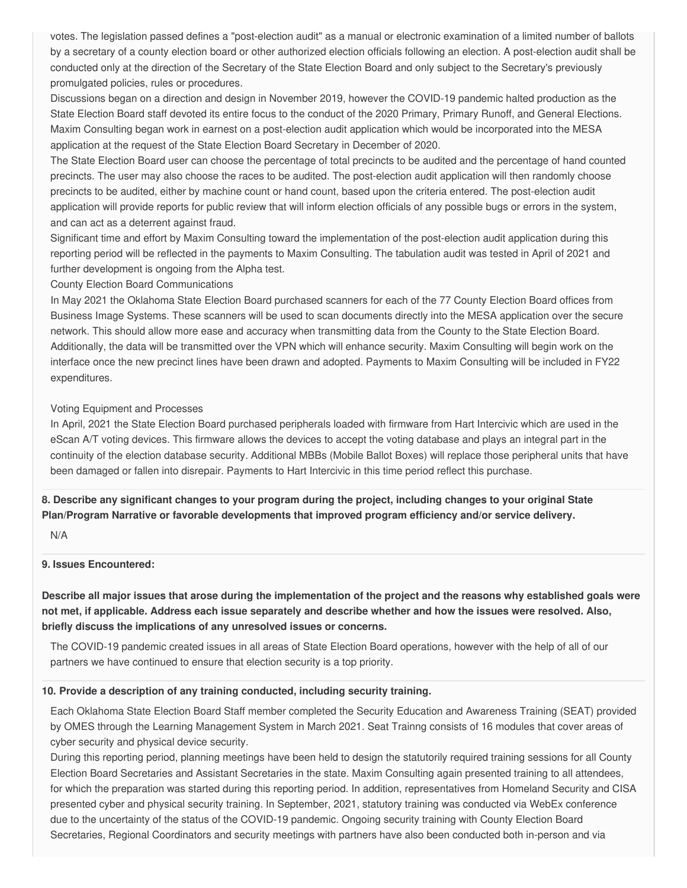votes. The legislation passed defines a "post-election audit" as a manual or electronic examination of a limited number of ballots by a secretary of a county election board or other authorized election officials following an election. A post-election audit shall be conducted only at the direction of the Secretary of the State Election Board and only subject to the Secretary's previously promulgated policies, rules or procedures.

 Discussions began on a direction and design in November 2019, however the COVID-19 pandemic halted production as the State Election Board staff devoted its entire focus to the conduct of the 2020 Primary, Primary Runoff, and General Elections. Maxim Consulting began work in earnest on a post-election audit application which would be incorporated into the MESA application at the request of the State Election Board Secretary in December of 2020.

 The State Election Board user can choose the percentage of total precincts to be audited and the percentage of hand counted precincts. The user may also choose the races to be audited. The post-election audit application will then randomly choose precincts to be audited, either by machine count or hand count, based upon the criteria entered. The post-election audit application will provide reports for public review that will inform election officials of any possible bugs or errors in the system, and can act as a deterrent against fraud.

 Significant time and effort by Maxim Consulting toward the implementation of the post-election audit application during this reporting period will be reflected in the payments to Maxim Consulting. The tabulation audit was tested in April of 2021 and further development is ongoing from the Alpha test.

#### County Election Board Communications

 In May 2021 the Oklahoma State Election Board purchased scanners for each of the 77 County Election Board offices from Business Image Systems. These scanners will be used to scan documents directly into the MESA application over the secure network. This should allow more ease and accuracy when transmitting data from the County to the State Election Board. Additionally, the data will be transmitted over the VPN which will enhance security. Maxim Consulting will begin work on the interface once the new precinct lines have been drawn and adopted. Payments to Maxim Consulting will be included in FY22 expenditures.

### Voting Equipment and Processes

 In April, 2021 the State Election Board purchased peripherals loaded with firmware from Hart Intercivic which are used in the eScan A/T voting devices. This firmware allows the devices to accept the voting database and plays an integral part in the continuity of the election database security. Additional MBBs (Mobile Ballot Boxes) will replace those peripheral units that have been damaged or fallen into disrepair. Payments to Hart Intercivic in this time period reflect this purchase.

8. Describe any significant changes to your program during the project, including changes to your original State  **Plan/Program Narrative or favorable developments that improved program efficiency and/or service delivery.**

N/A

### **9. Issues Encountered:**

Describe all major issues that arose during the implementation of the project and the reasons why established goals were not met, if applicable. Address each issue separately and describe whether and how the issues were resolved. Also,  **briefly discuss the implications of any unresolved issues or concerns.**

 The COVID-19 pandemic created issues in all areas of State Election Board operations, however with the help of all of our partners we have continued to ensure that election security is a top priority.

#### **10. Provide a description of any training conducted, including security training.**

 Each Oklahoma State Election Board Staff member completed the Security Education and Awareness Training (SEAT) provided by OMES through the Learning Management System in March 2021. Seat Trainng consists of 16 modules that cover areas of cyber security and physical device security.

 During this reporting period, planning meetings have been held to design the statutorily required training sessions for all County Election Board Secretaries and Assistant Secretaries in the state. Maxim Consulting again presented training to all attendees, for which the preparation was started during this reporting period. In addition, representatives from Homeland Security and CISA presented cyber and physical security training. In September, 2021, statutory training was conducted via WebEx conference due to the uncertainty of the status of the COVID-19 pandemic. Ongoing security training with County Election Board Secretaries, Regional Coordinators and security meetings with partners have also been conducted both in-person and via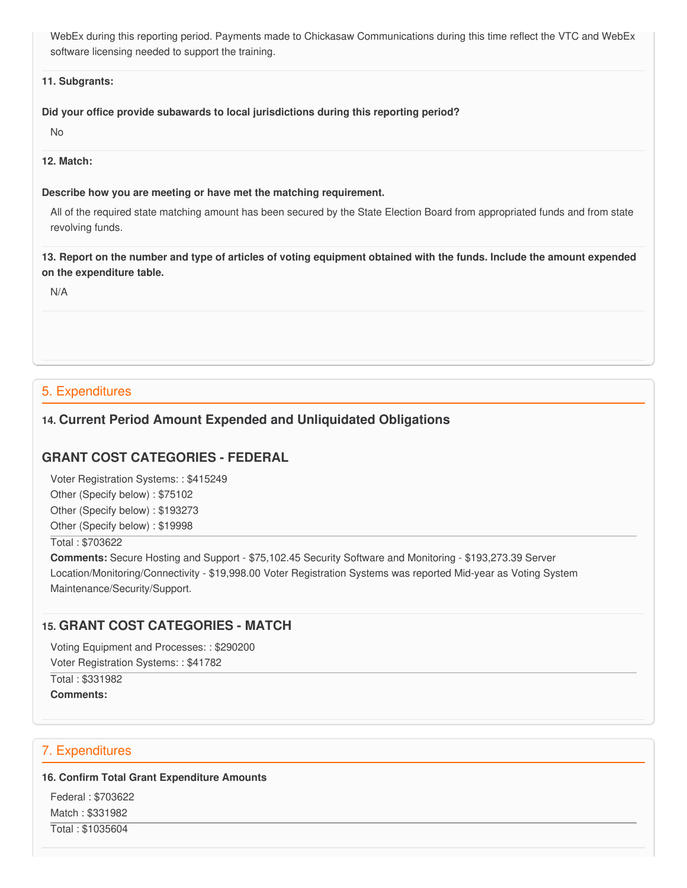WebEx during this reporting period. Payments made to Chickasaw Communications during this time reflect the VTC and WebEx software licensing needed to support the training.

#### **11. Subgrants:**

#### **Did your office provide subawards to local jurisdictions during this reporting period?**

No

# **12. Match:**

### **Describe how you are meeting or have met the matching requirement.**

 All of the required state matching amount has been secured by the State Election Board from appropriated funds and from state revolving funds.

13. Report on the number and type of articles of voting equipment obtained with the funds. Include the amount expended  **on the expenditure table.**

N/A

# 5. Expenditures

# **14. Current Period Amount Expended and Unliquidated Obligations**

# **GRANT COST CATEGORIES - FEDERAL**

 Voter Registration Systems: : \$415249 Other (Specify below) : \$75102 Other (Specify below) : \$193273 Other (Specify below) : \$19998

# Total : \$703622

 **Comments:** Secure Hosting and Support - [\\$75,102.45](https://75,102.45) Security Software and Monitoring - \$[193,273.39](https://193,273.39) Server Location/Monitoring/Connectivity - [\\$19,998.00](https://19,998.00) Voter Registration Systems was reported Mid-year as Voting System Maintenance/Security/Support.

# **15. GRANT COST CATEGORIES - MATCH**

Voting Equipment and Processes: : \$290200

Voter Registration Systems: : \$41782

 Total : \$331982 **Comments:**

# 7. Expenditures

### **16. Confirm Total Grant Expenditure Amounts**

 Federal : \$703622 Match : \$331982 Total : \$1035604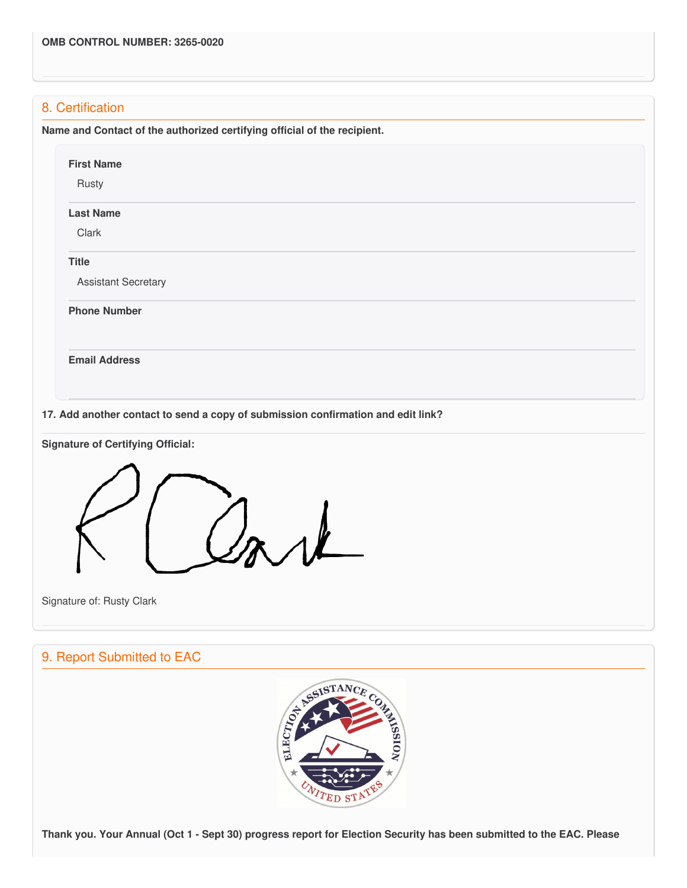# 8. Certification

 **Name and Contact of the authorized certifying official of the recipient.**

| <b>Last Name</b>           |                                                                                  |  |  |
|----------------------------|----------------------------------------------------------------------------------|--|--|
| Clark                      |                                                                                  |  |  |
| <b>Title</b>               |                                                                                  |  |  |
| <b>Assistant Secretary</b> |                                                                                  |  |  |
| <b>Phone Number</b>        |                                                                                  |  |  |
| <b>Email Address</b>       |                                                                                  |  |  |
|                            | 17. Add another contact to send a copy of submission confirmation and edit link? |  |  |



Signature of: Rusty Clark

# 9. Report Submitted to EAC



Thank you. Your Annual (Oct 1 - Sept 30) progress report for Election Security has been submitted to the EAC. Please